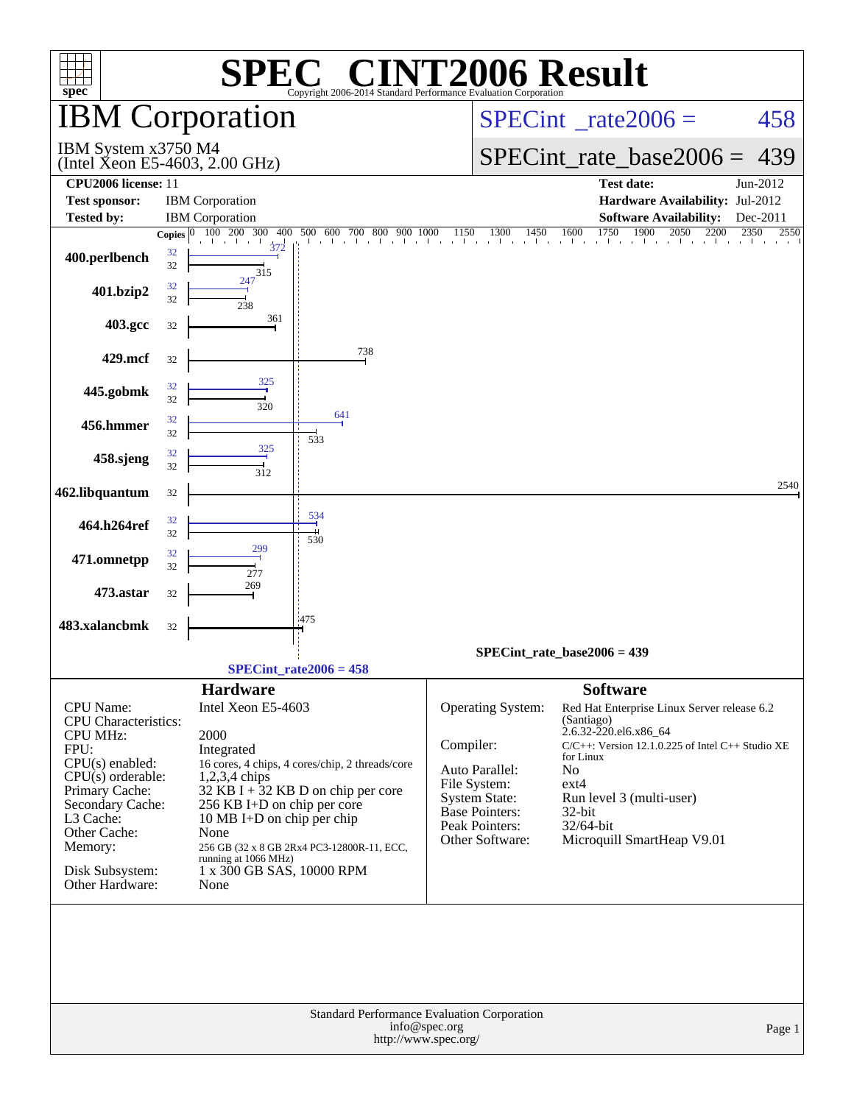| <b>IBM Corporation</b><br>$SPECint^{\circ}$ rate $2006 =$<br>IBM System x3750 M4<br>$SPECint$ rate_base2006 =<br>(Intel Xeon E5-4603, 2.00 GHz)<br><b>CPU2006</b> license: 11<br><b>Test date:</b><br><b>Test sponsor:</b><br><b>IBM</b> Corporation<br>Hardware Availability: Jul-2012<br><b>Tested by:</b><br><b>IBM</b> Corporation<br><b>Software Availability:</b><br>1750<br>100 200 300<br>1900<br>2050<br>2200<br>400<br>500 600 700 800<br>1150<br>1300<br>1450<br>1600<br>900<br>1000<br>Copies $ 0 $<br>the change of the control of the con-<br>372<br>32 | 458<br>439<br>Jun-2012<br>Dec-2011<br>2350<br>2550 |  |  |  |  |  |  |
|-----------------------------------------------------------------------------------------------------------------------------------------------------------------------------------------------------------------------------------------------------------------------------------------------------------------------------------------------------------------------------------------------------------------------------------------------------------------------------------------------------------------------------------------------------------------------|----------------------------------------------------|--|--|--|--|--|--|
|                                                                                                                                                                                                                                                                                                                                                                                                                                                                                                                                                                       |                                                    |  |  |  |  |  |  |
|                                                                                                                                                                                                                                                                                                                                                                                                                                                                                                                                                                       |                                                    |  |  |  |  |  |  |
|                                                                                                                                                                                                                                                                                                                                                                                                                                                                                                                                                                       |                                                    |  |  |  |  |  |  |
|                                                                                                                                                                                                                                                                                                                                                                                                                                                                                                                                                                       |                                                    |  |  |  |  |  |  |
|                                                                                                                                                                                                                                                                                                                                                                                                                                                                                                                                                                       |                                                    |  |  |  |  |  |  |
| 400.perlbench<br>32<br>315                                                                                                                                                                                                                                                                                                                                                                                                                                                                                                                                            |                                                    |  |  |  |  |  |  |
| 247<br>32<br>401.bzip2<br>32<br>238                                                                                                                                                                                                                                                                                                                                                                                                                                                                                                                                   |                                                    |  |  |  |  |  |  |
| 361<br>403.gcc<br>32                                                                                                                                                                                                                                                                                                                                                                                                                                                                                                                                                  |                                                    |  |  |  |  |  |  |
| 738<br>429.mcf<br>32                                                                                                                                                                                                                                                                                                                                                                                                                                                                                                                                                  |                                                    |  |  |  |  |  |  |
| 325<br>32<br>445.gobmk<br>32<br>320                                                                                                                                                                                                                                                                                                                                                                                                                                                                                                                                   |                                                    |  |  |  |  |  |  |
| 641<br>32<br>456.hmmer<br>32<br>533                                                                                                                                                                                                                                                                                                                                                                                                                                                                                                                                   |                                                    |  |  |  |  |  |  |
| 325<br>32<br>458.sjeng<br>32<br>312                                                                                                                                                                                                                                                                                                                                                                                                                                                                                                                                   |                                                    |  |  |  |  |  |  |
| 462.libquantum<br>32                                                                                                                                                                                                                                                                                                                                                                                                                                                                                                                                                  | 2540                                               |  |  |  |  |  |  |
| 534<br>32<br>464.h264ref<br>32<br>530                                                                                                                                                                                                                                                                                                                                                                                                                                                                                                                                 |                                                    |  |  |  |  |  |  |
| 32<br>471.omnetpp<br>32<br>277                                                                                                                                                                                                                                                                                                                                                                                                                                                                                                                                        |                                                    |  |  |  |  |  |  |
| 269<br>473.astar<br>32                                                                                                                                                                                                                                                                                                                                                                                                                                                                                                                                                |                                                    |  |  |  |  |  |  |
| :475<br>483.xalancbmk<br>32                                                                                                                                                                                                                                                                                                                                                                                                                                                                                                                                           |                                                    |  |  |  |  |  |  |
| SPECint rate base $2006 = 439$<br>$SPECint_rate2006 = 458$                                                                                                                                                                                                                                                                                                                                                                                                                                                                                                            |                                                    |  |  |  |  |  |  |
| <b>Software</b><br><b>Hardware</b>                                                                                                                                                                                                                                                                                                                                                                                                                                                                                                                                    |                                                    |  |  |  |  |  |  |
| Intel Xeon E5-4603<br>CPU Name:<br><b>Operating System:</b><br>Red Hat Enterprise Linux Server release 6.2                                                                                                                                                                                                                                                                                                                                                                                                                                                            |                                                    |  |  |  |  |  |  |
| CPU Characteristics:<br>(Santiago)<br>2.6.32-220.el6.x86_64                                                                                                                                                                                                                                                                                                                                                                                                                                                                                                           |                                                    |  |  |  |  |  |  |
| <b>CPU MHz:</b><br>2000<br>Compiler:<br>$C/C++$ : Version 12.1.0.225 of Intel $C++$ Studio XE<br>FPU:<br>Integrated                                                                                                                                                                                                                                                                                                                                                                                                                                                   |                                                    |  |  |  |  |  |  |
| for Linux<br>$CPU(s)$ enabled:<br>16 cores, 4 chips, 4 cores/chip, 2 threads/core<br>Auto Parallel:<br>No                                                                                                                                                                                                                                                                                                                                                                                                                                                             |                                                    |  |  |  |  |  |  |
| $CPU(s)$ orderable:<br>$1,2,3,4$ chips<br>File System:<br>$ext{4}$<br>Primary Cache:<br>$32$ KB I + 32 KB D on chip per core                                                                                                                                                                                                                                                                                                                                                                                                                                          |                                                    |  |  |  |  |  |  |
| System State:<br>Run level 3 (multi-user)<br>Secondary Cache:<br>256 KB I+D on chip per core<br><b>Base Pointers:</b><br>32-bit                                                                                                                                                                                                                                                                                                                                                                                                                                       |                                                    |  |  |  |  |  |  |
| L3 Cache:<br>10 MB I+D on chip per chip<br>Peak Pointers:<br>32/64-bit<br>Other Cache:<br>None                                                                                                                                                                                                                                                                                                                                                                                                                                                                        |                                                    |  |  |  |  |  |  |
| Other Software:<br>Microquill SmartHeap V9.01<br>Memory:<br>256 GB (32 x 8 GB 2Rx4 PC3-12800R-11, ECC,                                                                                                                                                                                                                                                                                                                                                                                                                                                                |                                                    |  |  |  |  |  |  |
| running at 1066 MHz)<br>Disk Subsystem:<br>1 x 300 GB SAS, 10000 RPM                                                                                                                                                                                                                                                                                                                                                                                                                                                                                                  |                                                    |  |  |  |  |  |  |
| Other Hardware:<br>None                                                                                                                                                                                                                                                                                                                                                                                                                                                                                                                                               |                                                    |  |  |  |  |  |  |
|                                                                                                                                                                                                                                                                                                                                                                                                                                                                                                                                                                       |                                                    |  |  |  |  |  |  |
| Standard Performance Evaluation Corporation<br>info@spec.org<br>http://www.spec.org/                                                                                                                                                                                                                                                                                                                                                                                                                                                                                  | Page 1                                             |  |  |  |  |  |  |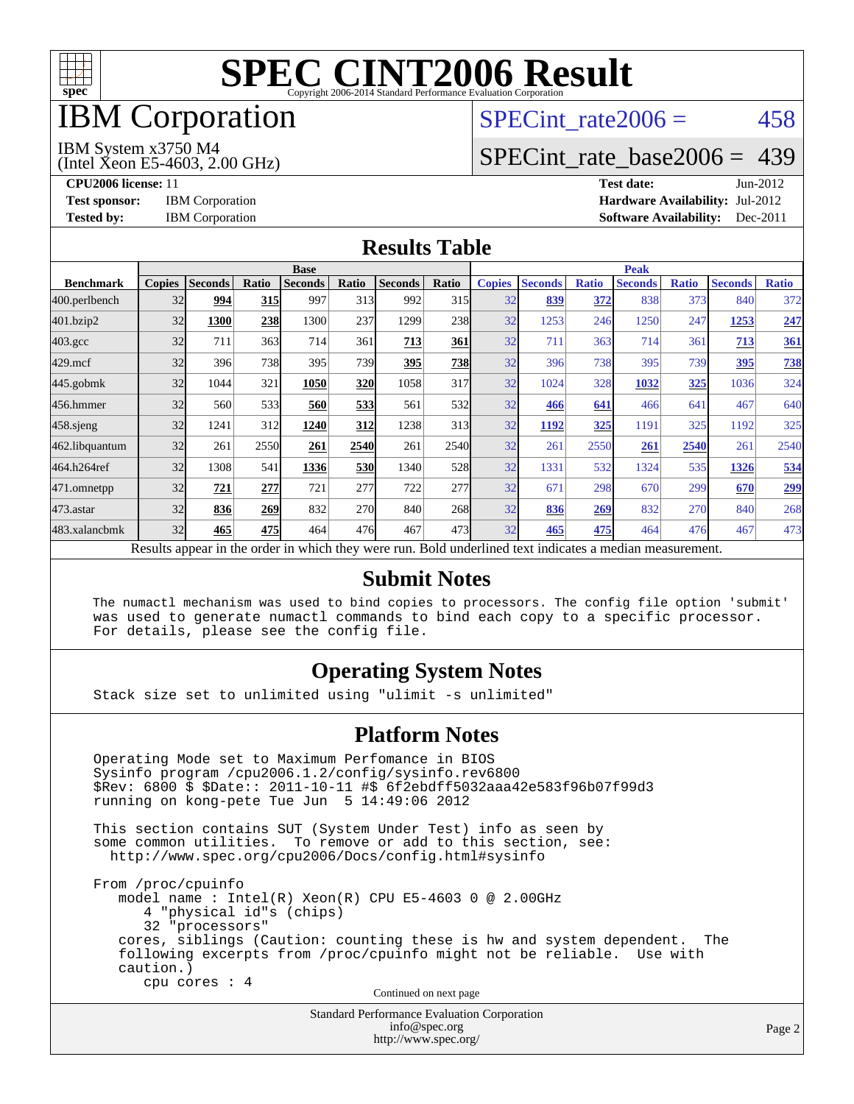

## IBM Corporation

## SPECint rate $2006 = 458$

#### IBM System x3750 M4

(Intel Xeon E5-4603, 2.00 GHz)

[SPECint\\_rate\\_base2006 =](http://www.spec.org/auto/cpu2006/Docs/result-fields.html#SPECintratebase2006) 439

**[CPU2006 license:](http://www.spec.org/auto/cpu2006/Docs/result-fields.html#CPU2006license)** 11 **[Test date:](http://www.spec.org/auto/cpu2006/Docs/result-fields.html#Testdate)** Jun-2012 **[Test sponsor:](http://www.spec.org/auto/cpu2006/Docs/result-fields.html#Testsponsor)** IBM Corporation **[Hardware Availability:](http://www.spec.org/auto/cpu2006/Docs/result-fields.html#HardwareAvailability)** Jul-2012 **[Tested by:](http://www.spec.org/auto/cpu2006/Docs/result-fields.html#Testedby)** IBM Corporation **[Software Availability:](http://www.spec.org/auto/cpu2006/Docs/result-fields.html#SoftwareAvailability)** Dec-2011

#### **[Results Table](http://www.spec.org/auto/cpu2006/Docs/result-fields.html#ResultsTable)**

|                  | <b>Base</b>   |                |              |                                                                                                          |                  |                |       | <b>Peak</b>   |                |              |                |              |                |              |
|------------------|---------------|----------------|--------------|----------------------------------------------------------------------------------------------------------|------------------|----------------|-------|---------------|----------------|--------------|----------------|--------------|----------------|--------------|
| <b>Benchmark</b> | <b>Copies</b> | <b>Seconds</b> | <b>Ratio</b> | <b>Seconds</b>                                                                                           | Ratio            | <b>Seconds</b> | Ratio | <b>Copies</b> | <b>Seconds</b> | <b>Ratio</b> | <b>Seconds</b> | <b>Ratio</b> | <b>Seconds</b> | <b>Ratio</b> |
| 400.perlbench    | 32            | 994            | <b>315</b>   | 997                                                                                                      | 313 <sup>I</sup> | 992            | 315   | 32            | 839            | 372          | 838            | 373          | 840            | 372          |
| 401.bzip2        | 32            | 1300           | 238          | 1300                                                                                                     | 237              | 1299           | 238   | 32            | 1253           | 246          | 1250           | 247          | 1253           | 247          |
| $403.\text{gcc}$ | 32            | 711            | 363          | 714                                                                                                      | 361              | 713            | 361   | 32            | 711            | 363          | 714            | 361          | 713            | 361          |
| $429$ .mcf       | 32            | 396            | 738          | 395                                                                                                      | 739              | 395            | 738   | 32            | 396            | 738          | 395            | 739          | 395            | 738          |
| $445$ .gobmk     | 32            | 1044           | 321          | 1050                                                                                                     | <b>320</b>       | 1058           | 317   | 32            | 1024           | 328          | 1032           | 325          | 1036           | 324          |
| 456.hmmer        | 32            | 560            | 533          | 560                                                                                                      | 533              | 561            | 532   | 32            | 466            | 641          | 466            | 641          | 467            | 640          |
| $458$ .sjeng     | 32            | 1241           | 312          | 1240                                                                                                     | 312              | 1238           | 313   | 32            | 1192           | 325          | 1191           | 325          | 1192           | 325          |
| 462.libquantum   | 32            | 261            | 2550         | 261                                                                                                      | 2540             | 261            | 2540  | 32            | 261            | 2550         | 261            | 2540         | 261            | 2540         |
| 464.h264ref      | 32            | 1308           | 541          | 1336                                                                                                     | <b>530</b>       | 1340           | 528   | 32            | 1331           | 532          | 1324           | 535          | 1326           | 534          |
| 471.omnetpp      | 32            | 721            | 277          | 721                                                                                                      | 277              | 722            | 277   | 32            | 671            | 298          | 670            | 299          | 670            | <u>299</u>   |
| 473.astar        | 32            | 836            | 269          | 832                                                                                                      | 270              | 840            | 268   | 32            | 836            | 269          | 832            | 270          | 840            | 268          |
| 483.xalancbmk    | 32            | 465            | 475          | 464                                                                                                      | 476              | 467            | 473   | 32            | 465            | 475          | 464            | 476          | 467            | 473          |
|                  |               |                |              | Results appear in the order in which they were run. Bold underlined text indicates a median measurement. |                  |                |       |               |                |              |                |              |                |              |

#### **[Submit Notes](http://www.spec.org/auto/cpu2006/Docs/result-fields.html#SubmitNotes)**

 The numactl mechanism was used to bind copies to processors. The config file option 'submit' was used to generate numactl commands to bind each copy to a specific processor. For details, please see the config file.

### **[Operating System Notes](http://www.spec.org/auto/cpu2006/Docs/result-fields.html#OperatingSystemNotes)**

Stack size set to unlimited using "ulimit -s unlimited"

#### **[Platform Notes](http://www.spec.org/auto/cpu2006/Docs/result-fields.html#PlatformNotes)**

 Operating Mode set to Maximum Perfomance in BIOS Sysinfo program /cpu2006.1.2/config/sysinfo.rev6800 \$Rev: 6800 \$ \$Date:: 2011-10-11 #\$ 6f2ebdff5032aaa42e583f96b07f99d3 running on kong-pete Tue Jun 5 14:49:06 2012 This section contains SUT (System Under Test) info as seen by some common utilities. To remove or add to this section, see: <http://www.spec.org/cpu2006/Docs/config.html#sysinfo> From /proc/cpuinfo model name : Intel(R) Xeon(R) CPU E5-4603 0 @ 2.00GHz 4 "physical id"s (chips) 32 "processors" cores, siblings (Caution: counting these is hw and system dependent. The following excerpts from /proc/cpuinfo might not be reliable. Use with caution.) cpu cores : 4 Continued on next page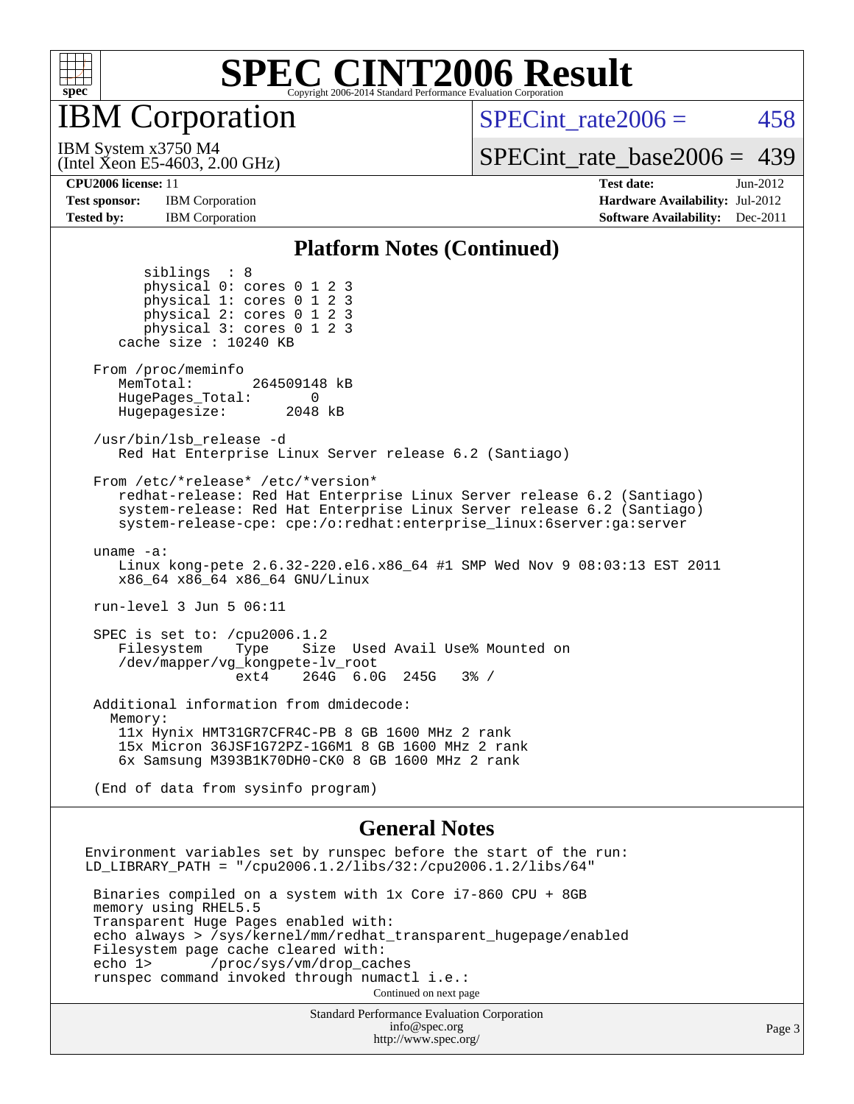

IBM Corporation

SPECint rate $2006 = 458$ 

(Intel Xeon E5-4603, 2.00 GHz) IBM System x3750 M4

[SPECint\\_rate\\_base2006 =](http://www.spec.org/auto/cpu2006/Docs/result-fields.html#SPECintratebase2006) 439

**[Tested by:](http://www.spec.org/auto/cpu2006/Docs/result-fields.html#Testedby)** IBM Corporation **IBM** Corporation **[Software Availability:](http://www.spec.org/auto/cpu2006/Docs/result-fields.html#SoftwareAvailability)** Dec-2011

**[CPU2006 license:](http://www.spec.org/auto/cpu2006/Docs/result-fields.html#CPU2006license)** 11 **[Test date:](http://www.spec.org/auto/cpu2006/Docs/result-fields.html#Testdate)** Jun-2012 **[Test sponsor:](http://www.spec.org/auto/cpu2006/Docs/result-fields.html#Testsponsor)** IBM Corporation **[Hardware Availability:](http://www.spec.org/auto/cpu2006/Docs/result-fields.html#HardwareAvailability)** Jul-2012

#### **[Platform Notes \(Continued\)](http://www.spec.org/auto/cpu2006/Docs/result-fields.html#PlatformNotes)**

 siblings : 8 physical 0: cores 0 1 2 3 physical 1: cores 0 1 2 3 physical 2: cores 0 1 2 3 physical 3: cores 0 1 2 3 cache size : 10240 KB From /proc/meminfo MemTotal: 264509148 kB HugePages\_Total: 0<br>Hugepagesize: 2048 kB Hugepagesize: /usr/bin/lsb\_release -d Red Hat Enterprise Linux Server release 6.2 (Santiago) From /etc/\*release\* /etc/\*version\* redhat-release: Red Hat Enterprise Linux Server release 6.2 (Santiago) system-release: Red Hat Enterprise Linux Server release 6.2 (Santiago) system-release-cpe: cpe:/o:redhat:enterprise\_linux:6server:ga:server uname -a: Linux kong-pete 2.6.32-220.el6.x86\_64 #1 SMP Wed Nov 9 08:03:13 EST 2011 x86\_64 x86\_64 x86\_64 GNU/Linux run-level 3 Jun 5 06:11 SPEC is set to: /cpu2006.1.2 Filesystem Type Size Used Avail Use% Mounted on /dev/mapper/vg\_kongpete-lv\_root ext4 264G 6.0G 245G 3% / Additional information from dmidecode: Memory: 11x Hynix HMT31GR7CFR4C-PB 8 GB 1600 MHz 2 rank 15x Micron 36JSF1G72PZ-1G6M1 8 GB 1600 MHz 2 rank 6x Samsung M393B1K70DH0-CK0 8 GB 1600 MHz 2 rank (End of data from sysinfo program) **[General Notes](http://www.spec.org/auto/cpu2006/Docs/result-fields.html#GeneralNotes)** Environment variables set by runspec before the start of the run: LD\_LIBRARY\_PATH = "/cpu2006.1.2/libs/32:/cpu2006.1.2/libs/64" Binaries compiled on a system with 1x Core i7-860 CPU + 8GB memory using RHEL5.5 Transparent Huge Pages enabled with: echo always > /sys/kernel/mm/redhat\_transparent\_hugepage/enabled Filesystem page cache cleared with:<br>echo 1> /proc/sys/vm/drop cac /proc/sys/vm/drop\_caches runspec command invoked through numactl i.e.: Continued on next page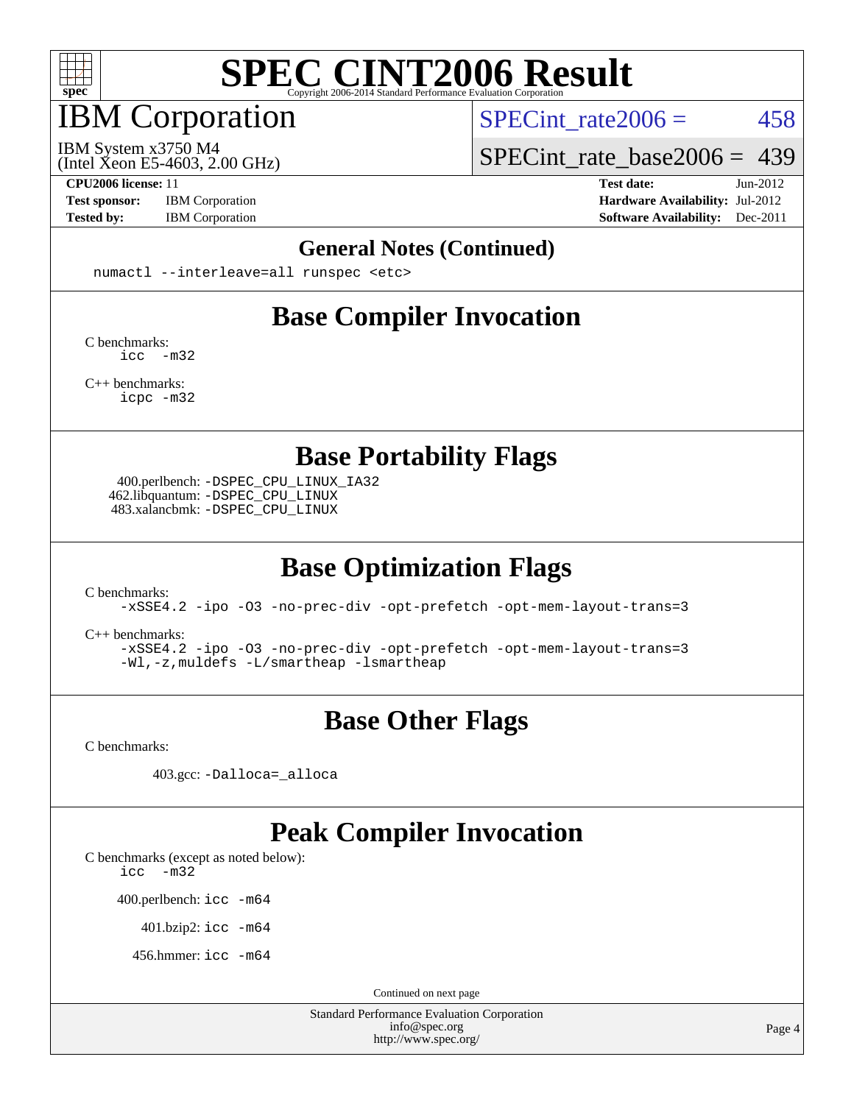

## IBM Corporation

SPECint rate $2006 = 458$ 

(Intel Xeon E5-4603, 2.00 GHz) IBM System x3750 M4

[SPECint\\_rate\\_base2006 =](http://www.spec.org/auto/cpu2006/Docs/result-fields.html#SPECintratebase2006) 439

**[Test sponsor:](http://www.spec.org/auto/cpu2006/Docs/result-fields.html#Testsponsor)** IBM Corporation **[Hardware Availability:](http://www.spec.org/auto/cpu2006/Docs/result-fields.html#HardwareAvailability)** Jul-2012

**[CPU2006 license:](http://www.spec.org/auto/cpu2006/Docs/result-fields.html#CPU2006license)** 11 **[Test date:](http://www.spec.org/auto/cpu2006/Docs/result-fields.html#Testdate)** Jun-2012 **[Tested by:](http://www.spec.org/auto/cpu2006/Docs/result-fields.html#Testedby)** IBM Corporation **[Software Availability:](http://www.spec.org/auto/cpu2006/Docs/result-fields.html#SoftwareAvailability)** Dec-2011

#### **[General Notes \(Continued\)](http://www.spec.org/auto/cpu2006/Docs/result-fields.html#GeneralNotes)**

numactl --interleave=all runspec <etc>

### **[Base Compiler Invocation](http://www.spec.org/auto/cpu2006/Docs/result-fields.html#BaseCompilerInvocation)**

[C benchmarks](http://www.spec.org/auto/cpu2006/Docs/result-fields.html#Cbenchmarks): [icc -m32](http://www.spec.org/cpu2006/results/res2012q3/cpu2006-20120716-23715.flags.html#user_CCbase_intel_icc_5ff4a39e364c98233615fdd38438c6f2)

[C++ benchmarks:](http://www.spec.org/auto/cpu2006/Docs/result-fields.html#CXXbenchmarks) [icpc -m32](http://www.spec.org/cpu2006/results/res2012q3/cpu2006-20120716-23715.flags.html#user_CXXbase_intel_icpc_4e5a5ef1a53fd332b3c49e69c3330699)

**[Base Portability Flags](http://www.spec.org/auto/cpu2006/Docs/result-fields.html#BasePortabilityFlags)**

 400.perlbench: [-DSPEC\\_CPU\\_LINUX\\_IA32](http://www.spec.org/cpu2006/results/res2012q3/cpu2006-20120716-23715.flags.html#b400.perlbench_baseCPORTABILITY_DSPEC_CPU_LINUX_IA32) 462.libquantum: [-DSPEC\\_CPU\\_LINUX](http://www.spec.org/cpu2006/results/res2012q3/cpu2006-20120716-23715.flags.html#b462.libquantum_baseCPORTABILITY_DSPEC_CPU_LINUX) 483.xalancbmk: [-DSPEC\\_CPU\\_LINUX](http://www.spec.org/cpu2006/results/res2012q3/cpu2006-20120716-23715.flags.html#b483.xalancbmk_baseCXXPORTABILITY_DSPEC_CPU_LINUX)

## **[Base Optimization Flags](http://www.spec.org/auto/cpu2006/Docs/result-fields.html#BaseOptimizationFlags)**

[C benchmarks](http://www.spec.org/auto/cpu2006/Docs/result-fields.html#Cbenchmarks):

[-xSSE4.2](http://www.spec.org/cpu2006/results/res2012q3/cpu2006-20120716-23715.flags.html#user_CCbase_f-xSSE42_f91528193cf0b216347adb8b939d4107) [-ipo](http://www.spec.org/cpu2006/results/res2012q3/cpu2006-20120716-23715.flags.html#user_CCbase_f-ipo) [-O3](http://www.spec.org/cpu2006/results/res2012q3/cpu2006-20120716-23715.flags.html#user_CCbase_f-O3) [-no-prec-div](http://www.spec.org/cpu2006/results/res2012q3/cpu2006-20120716-23715.flags.html#user_CCbase_f-no-prec-div) [-opt-prefetch](http://www.spec.org/cpu2006/results/res2012q3/cpu2006-20120716-23715.flags.html#user_CCbase_f-opt-prefetch) [-opt-mem-layout-trans=3](http://www.spec.org/cpu2006/results/res2012q3/cpu2006-20120716-23715.flags.html#user_CCbase_f-opt-mem-layout-trans_a7b82ad4bd7abf52556d4961a2ae94d5)

[C++ benchmarks:](http://www.spec.org/auto/cpu2006/Docs/result-fields.html#CXXbenchmarks)

[-xSSE4.2](http://www.spec.org/cpu2006/results/res2012q3/cpu2006-20120716-23715.flags.html#user_CXXbase_f-xSSE42_f91528193cf0b216347adb8b939d4107) [-ipo](http://www.spec.org/cpu2006/results/res2012q3/cpu2006-20120716-23715.flags.html#user_CXXbase_f-ipo) [-O3](http://www.spec.org/cpu2006/results/res2012q3/cpu2006-20120716-23715.flags.html#user_CXXbase_f-O3) [-no-prec-div](http://www.spec.org/cpu2006/results/res2012q3/cpu2006-20120716-23715.flags.html#user_CXXbase_f-no-prec-div) [-opt-prefetch](http://www.spec.org/cpu2006/results/res2012q3/cpu2006-20120716-23715.flags.html#user_CXXbase_f-opt-prefetch) [-opt-mem-layout-trans=3](http://www.spec.org/cpu2006/results/res2012q3/cpu2006-20120716-23715.flags.html#user_CXXbase_f-opt-mem-layout-trans_a7b82ad4bd7abf52556d4961a2ae94d5) [-Wl,-z,muldefs](http://www.spec.org/cpu2006/results/res2012q3/cpu2006-20120716-23715.flags.html#user_CXXbase_link_force_multiple1_74079c344b956b9658436fd1b6dd3a8a) [-L/smartheap -lsmartheap](http://www.spec.org/cpu2006/results/res2012q3/cpu2006-20120716-23715.flags.html#user_CXXbase_SmartHeap_7c9e394a5779e1a7fec7c221e123830c)

## **[Base Other Flags](http://www.spec.org/auto/cpu2006/Docs/result-fields.html#BaseOtherFlags)**

[C benchmarks](http://www.spec.org/auto/cpu2006/Docs/result-fields.html#Cbenchmarks):

403.gcc: [-Dalloca=\\_alloca](http://www.spec.org/cpu2006/results/res2012q3/cpu2006-20120716-23715.flags.html#b403.gcc_baseEXTRA_CFLAGS_Dalloca_be3056838c12de2578596ca5467af7f3)

### **[Peak Compiler Invocation](http://www.spec.org/auto/cpu2006/Docs/result-fields.html#PeakCompilerInvocation)**

[C benchmarks \(except as noted below\)](http://www.spec.org/auto/cpu2006/Docs/result-fields.html#Cbenchmarksexceptasnotedbelow):

[icc -m32](http://www.spec.org/cpu2006/results/res2012q3/cpu2006-20120716-23715.flags.html#user_CCpeak_intel_icc_5ff4a39e364c98233615fdd38438c6f2)

400.perlbench: [icc -m64](http://www.spec.org/cpu2006/results/res2012q3/cpu2006-20120716-23715.flags.html#user_peakCCLD400_perlbench_intel_icc_64bit_bda6cc9af1fdbb0edc3795bac97ada53)

401.bzip2: [icc -m64](http://www.spec.org/cpu2006/results/res2012q3/cpu2006-20120716-23715.flags.html#user_peakCCLD401_bzip2_intel_icc_64bit_bda6cc9af1fdbb0edc3795bac97ada53)

456.hmmer: [icc -m64](http://www.spec.org/cpu2006/results/res2012q3/cpu2006-20120716-23715.flags.html#user_peakCCLD456_hmmer_intel_icc_64bit_bda6cc9af1fdbb0edc3795bac97ada53)

Continued on next page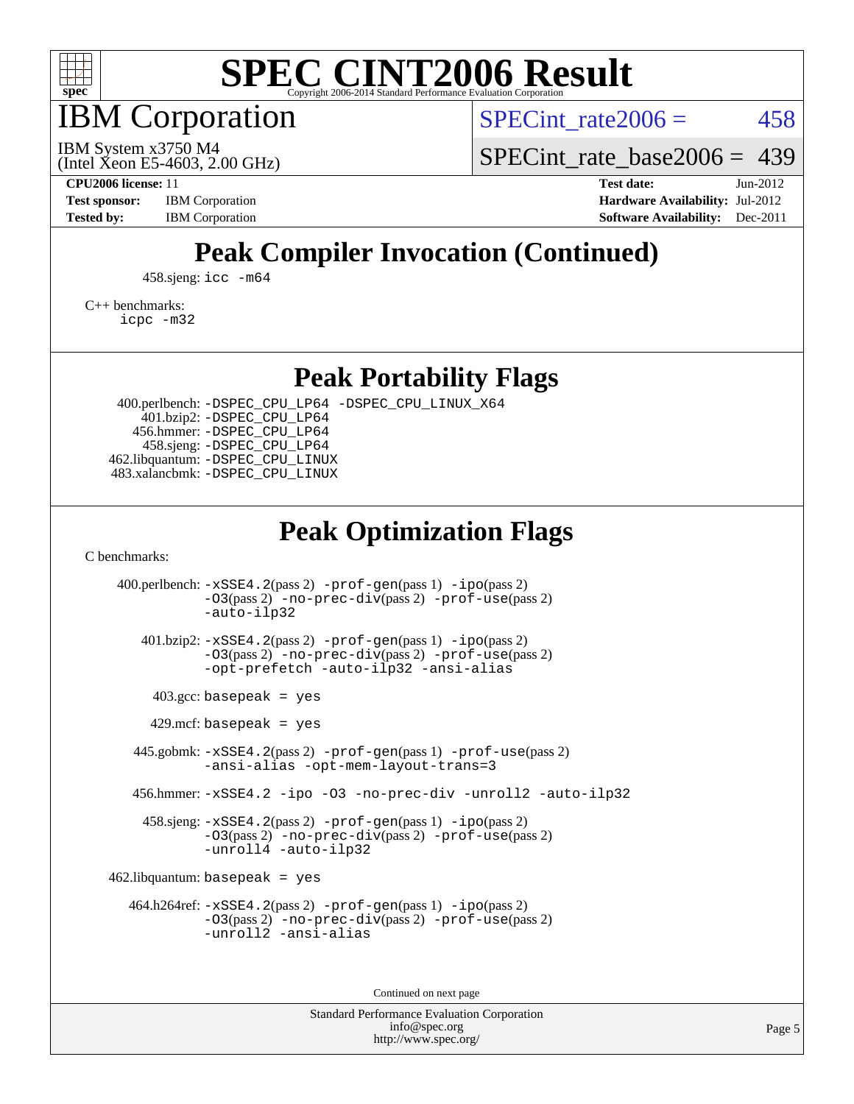

IBM Corporation

SPECint rate $2006 = 458$ 

(Intel Xeon E5-4603, 2.00 GHz) IBM System x3750 M4

[SPECint\\_rate\\_base2006 =](http://www.spec.org/auto/cpu2006/Docs/result-fields.html#SPECintratebase2006) 439

**[CPU2006 license:](http://www.spec.org/auto/cpu2006/Docs/result-fields.html#CPU2006license)** 11 **[Test date:](http://www.spec.org/auto/cpu2006/Docs/result-fields.html#Testdate)** Jun-2012 **[Test sponsor:](http://www.spec.org/auto/cpu2006/Docs/result-fields.html#Testsponsor)** IBM Corporation **[Hardware Availability:](http://www.spec.org/auto/cpu2006/Docs/result-fields.html#HardwareAvailability)** Jul-2012 **[Tested by:](http://www.spec.org/auto/cpu2006/Docs/result-fields.html#Testedby)** IBM Corporation **IBM** Corporation **[Software Availability:](http://www.spec.org/auto/cpu2006/Docs/result-fields.html#SoftwareAvailability)** Dec-2011

## **[Peak Compiler Invocation \(Continued\)](http://www.spec.org/auto/cpu2006/Docs/result-fields.html#PeakCompilerInvocation)**

458.sjeng: [icc -m64](http://www.spec.org/cpu2006/results/res2012q3/cpu2006-20120716-23715.flags.html#user_peakCCLD458_sjeng_intel_icc_64bit_bda6cc9af1fdbb0edc3795bac97ada53)

[C++ benchmarks:](http://www.spec.org/auto/cpu2006/Docs/result-fields.html#CXXbenchmarks) [icpc -m32](http://www.spec.org/cpu2006/results/res2012q3/cpu2006-20120716-23715.flags.html#user_CXXpeak_intel_icpc_4e5a5ef1a53fd332b3c49e69c3330699)

**[Peak Portability Flags](http://www.spec.org/auto/cpu2006/Docs/result-fields.html#PeakPortabilityFlags)**

 400.perlbench: [-DSPEC\\_CPU\\_LP64](http://www.spec.org/cpu2006/results/res2012q3/cpu2006-20120716-23715.flags.html#b400.perlbench_peakCPORTABILITY_DSPEC_CPU_LP64) [-DSPEC\\_CPU\\_LINUX\\_X64](http://www.spec.org/cpu2006/results/res2012q3/cpu2006-20120716-23715.flags.html#b400.perlbench_peakCPORTABILITY_DSPEC_CPU_LINUX_X64) 401.bzip2: [-DSPEC\\_CPU\\_LP64](http://www.spec.org/cpu2006/results/res2012q3/cpu2006-20120716-23715.flags.html#suite_peakCPORTABILITY401_bzip2_DSPEC_CPU_LP64) 456.hmmer: [-DSPEC\\_CPU\\_LP64](http://www.spec.org/cpu2006/results/res2012q3/cpu2006-20120716-23715.flags.html#suite_peakCPORTABILITY456_hmmer_DSPEC_CPU_LP64) 458.sjeng: [-DSPEC\\_CPU\\_LP64](http://www.spec.org/cpu2006/results/res2012q3/cpu2006-20120716-23715.flags.html#suite_peakCPORTABILITY458_sjeng_DSPEC_CPU_LP64) 462.libquantum: [-DSPEC\\_CPU\\_LINUX](http://www.spec.org/cpu2006/results/res2012q3/cpu2006-20120716-23715.flags.html#b462.libquantum_peakCPORTABILITY_DSPEC_CPU_LINUX) 483.xalancbmk: [-DSPEC\\_CPU\\_LINUX](http://www.spec.org/cpu2006/results/res2012q3/cpu2006-20120716-23715.flags.html#b483.xalancbmk_peakCXXPORTABILITY_DSPEC_CPU_LINUX)

### **[Peak Optimization Flags](http://www.spec.org/auto/cpu2006/Docs/result-fields.html#PeakOptimizationFlags)**

[C benchmarks](http://www.spec.org/auto/cpu2006/Docs/result-fields.html#Cbenchmarks):

 400.perlbench: [-xSSE4.2](http://www.spec.org/cpu2006/results/res2012q3/cpu2006-20120716-23715.flags.html#user_peakPASS2_CFLAGSPASS2_LDCFLAGS400_perlbench_f-xSSE42_f91528193cf0b216347adb8b939d4107)(pass 2) [-prof-gen](http://www.spec.org/cpu2006/results/res2012q3/cpu2006-20120716-23715.flags.html#user_peakPASS1_CFLAGSPASS1_LDCFLAGS400_perlbench_prof_gen_e43856698f6ca7b7e442dfd80e94a8fc)(pass 1) [-ipo](http://www.spec.org/cpu2006/results/res2012q3/cpu2006-20120716-23715.flags.html#user_peakPASS2_CFLAGSPASS2_LDCFLAGS400_perlbench_f-ipo)(pass 2) [-O3](http://www.spec.org/cpu2006/results/res2012q3/cpu2006-20120716-23715.flags.html#user_peakPASS2_CFLAGSPASS2_LDCFLAGS400_perlbench_f-O3)(pass 2) [-no-prec-div](http://www.spec.org/cpu2006/results/res2012q3/cpu2006-20120716-23715.flags.html#user_peakPASS2_CFLAGSPASS2_LDCFLAGS400_perlbench_f-no-prec-div)(pass 2) [-prof-use](http://www.spec.org/cpu2006/results/res2012q3/cpu2006-20120716-23715.flags.html#user_peakPASS2_CFLAGSPASS2_LDCFLAGS400_perlbench_prof_use_bccf7792157ff70d64e32fe3e1250b55)(pass 2) [-auto-ilp32](http://www.spec.org/cpu2006/results/res2012q3/cpu2006-20120716-23715.flags.html#user_peakCOPTIMIZE400_perlbench_f-auto-ilp32) 401.bzip2: [-xSSE4.2](http://www.spec.org/cpu2006/results/res2012q3/cpu2006-20120716-23715.flags.html#user_peakPASS2_CFLAGSPASS2_LDCFLAGS401_bzip2_f-xSSE42_f91528193cf0b216347adb8b939d4107)(pass 2) [-prof-gen](http://www.spec.org/cpu2006/results/res2012q3/cpu2006-20120716-23715.flags.html#user_peakPASS1_CFLAGSPASS1_LDCFLAGS401_bzip2_prof_gen_e43856698f6ca7b7e442dfd80e94a8fc)(pass 1) [-ipo](http://www.spec.org/cpu2006/results/res2012q3/cpu2006-20120716-23715.flags.html#user_peakPASS2_CFLAGSPASS2_LDCFLAGS401_bzip2_f-ipo)(pass 2) [-O3](http://www.spec.org/cpu2006/results/res2012q3/cpu2006-20120716-23715.flags.html#user_peakPASS2_CFLAGSPASS2_LDCFLAGS401_bzip2_f-O3)(pass 2) [-no-prec-div](http://www.spec.org/cpu2006/results/res2012q3/cpu2006-20120716-23715.flags.html#user_peakPASS2_CFLAGSPASS2_LDCFLAGS401_bzip2_f-no-prec-div)(pass 2) [-prof-use](http://www.spec.org/cpu2006/results/res2012q3/cpu2006-20120716-23715.flags.html#user_peakPASS2_CFLAGSPASS2_LDCFLAGS401_bzip2_prof_use_bccf7792157ff70d64e32fe3e1250b55)(pass 2) [-opt-prefetch](http://www.spec.org/cpu2006/results/res2012q3/cpu2006-20120716-23715.flags.html#user_peakCOPTIMIZE401_bzip2_f-opt-prefetch) [-auto-ilp32](http://www.spec.org/cpu2006/results/res2012q3/cpu2006-20120716-23715.flags.html#user_peakCOPTIMIZE401_bzip2_f-auto-ilp32) [-ansi-alias](http://www.spec.org/cpu2006/results/res2012q3/cpu2006-20120716-23715.flags.html#user_peakCOPTIMIZE401_bzip2_f-ansi-alias)  $403.\text{gcc: basepeak}$  = yes  $429$ .mcf: basepeak = yes 445.gobmk: [-xSSE4.2](http://www.spec.org/cpu2006/results/res2012q3/cpu2006-20120716-23715.flags.html#user_peakPASS2_CFLAGSPASS2_LDCFLAGS445_gobmk_f-xSSE42_f91528193cf0b216347adb8b939d4107)(pass 2) [-prof-gen](http://www.spec.org/cpu2006/results/res2012q3/cpu2006-20120716-23715.flags.html#user_peakPASS1_CFLAGSPASS1_LDCFLAGS445_gobmk_prof_gen_e43856698f6ca7b7e442dfd80e94a8fc)(pass 1) [-prof-use](http://www.spec.org/cpu2006/results/res2012q3/cpu2006-20120716-23715.flags.html#user_peakPASS2_CFLAGSPASS2_LDCFLAGS445_gobmk_prof_use_bccf7792157ff70d64e32fe3e1250b55)(pass 2) [-ansi-alias](http://www.spec.org/cpu2006/results/res2012q3/cpu2006-20120716-23715.flags.html#user_peakCOPTIMIZE445_gobmk_f-ansi-alias) [-opt-mem-layout-trans=3](http://www.spec.org/cpu2006/results/res2012q3/cpu2006-20120716-23715.flags.html#user_peakCOPTIMIZE445_gobmk_f-opt-mem-layout-trans_a7b82ad4bd7abf52556d4961a2ae94d5) 456.hmmer: [-xSSE4.2](http://www.spec.org/cpu2006/results/res2012q3/cpu2006-20120716-23715.flags.html#user_peakCOPTIMIZE456_hmmer_f-xSSE42_f91528193cf0b216347adb8b939d4107) [-ipo](http://www.spec.org/cpu2006/results/res2012q3/cpu2006-20120716-23715.flags.html#user_peakCOPTIMIZE456_hmmer_f-ipo) [-O3](http://www.spec.org/cpu2006/results/res2012q3/cpu2006-20120716-23715.flags.html#user_peakCOPTIMIZE456_hmmer_f-O3) [-no-prec-div](http://www.spec.org/cpu2006/results/res2012q3/cpu2006-20120716-23715.flags.html#user_peakCOPTIMIZE456_hmmer_f-no-prec-div) [-unroll2](http://www.spec.org/cpu2006/results/res2012q3/cpu2006-20120716-23715.flags.html#user_peakCOPTIMIZE456_hmmer_f-unroll_784dae83bebfb236979b41d2422d7ec2) [-auto-ilp32](http://www.spec.org/cpu2006/results/res2012q3/cpu2006-20120716-23715.flags.html#user_peakCOPTIMIZE456_hmmer_f-auto-ilp32) 458.sjeng: [-xSSE4.2](http://www.spec.org/cpu2006/results/res2012q3/cpu2006-20120716-23715.flags.html#user_peakPASS2_CFLAGSPASS2_LDCFLAGS458_sjeng_f-xSSE42_f91528193cf0b216347adb8b939d4107)(pass 2) [-prof-gen](http://www.spec.org/cpu2006/results/res2012q3/cpu2006-20120716-23715.flags.html#user_peakPASS1_CFLAGSPASS1_LDCFLAGS458_sjeng_prof_gen_e43856698f6ca7b7e442dfd80e94a8fc)(pass 1) [-ipo](http://www.spec.org/cpu2006/results/res2012q3/cpu2006-20120716-23715.flags.html#user_peakPASS2_CFLAGSPASS2_LDCFLAGS458_sjeng_f-ipo)(pass 2) [-O3](http://www.spec.org/cpu2006/results/res2012q3/cpu2006-20120716-23715.flags.html#user_peakPASS2_CFLAGSPASS2_LDCFLAGS458_sjeng_f-O3)(pass 2) [-no-prec-div](http://www.spec.org/cpu2006/results/res2012q3/cpu2006-20120716-23715.flags.html#user_peakPASS2_CFLAGSPASS2_LDCFLAGS458_sjeng_f-no-prec-div)(pass 2) [-prof-use](http://www.spec.org/cpu2006/results/res2012q3/cpu2006-20120716-23715.flags.html#user_peakPASS2_CFLAGSPASS2_LDCFLAGS458_sjeng_prof_use_bccf7792157ff70d64e32fe3e1250b55)(pass 2) [-unroll4](http://www.spec.org/cpu2006/results/res2012q3/cpu2006-20120716-23715.flags.html#user_peakCOPTIMIZE458_sjeng_f-unroll_4e5e4ed65b7fd20bdcd365bec371b81f) [-auto-ilp32](http://www.spec.org/cpu2006/results/res2012q3/cpu2006-20120716-23715.flags.html#user_peakCOPTIMIZE458_sjeng_f-auto-ilp32)  $462$ .libquantum: basepeak = yes 464.h264ref: [-xSSE4.2](http://www.spec.org/cpu2006/results/res2012q3/cpu2006-20120716-23715.flags.html#user_peakPASS2_CFLAGSPASS2_LDCFLAGS464_h264ref_f-xSSE42_f91528193cf0b216347adb8b939d4107)(pass 2) [-prof-gen](http://www.spec.org/cpu2006/results/res2012q3/cpu2006-20120716-23715.flags.html#user_peakPASS1_CFLAGSPASS1_LDCFLAGS464_h264ref_prof_gen_e43856698f6ca7b7e442dfd80e94a8fc)(pass 1) [-ipo](http://www.spec.org/cpu2006/results/res2012q3/cpu2006-20120716-23715.flags.html#user_peakPASS2_CFLAGSPASS2_LDCFLAGS464_h264ref_f-ipo)(pass 2) [-O3](http://www.spec.org/cpu2006/results/res2012q3/cpu2006-20120716-23715.flags.html#user_peakPASS2_CFLAGSPASS2_LDCFLAGS464_h264ref_f-O3)(pass 2) [-no-prec-div](http://www.spec.org/cpu2006/results/res2012q3/cpu2006-20120716-23715.flags.html#user_peakPASS2_CFLAGSPASS2_LDCFLAGS464_h264ref_f-no-prec-div)(pass 2) [-prof-use](http://www.spec.org/cpu2006/results/res2012q3/cpu2006-20120716-23715.flags.html#user_peakPASS2_CFLAGSPASS2_LDCFLAGS464_h264ref_prof_use_bccf7792157ff70d64e32fe3e1250b55)(pass 2) [-unroll2](http://www.spec.org/cpu2006/results/res2012q3/cpu2006-20120716-23715.flags.html#user_peakCOPTIMIZE464_h264ref_f-unroll_784dae83bebfb236979b41d2422d7ec2) [-ansi-alias](http://www.spec.org/cpu2006/results/res2012q3/cpu2006-20120716-23715.flags.html#user_peakCOPTIMIZE464_h264ref_f-ansi-alias)

Continued on next page